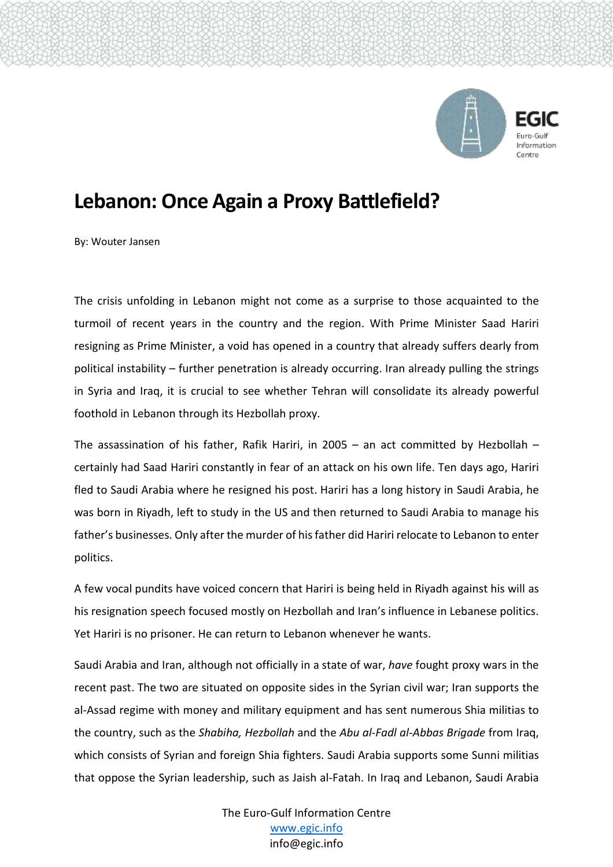

## **Lebanon: Once Again a Proxy Battlefield?**

By: Wouter Jansen

The crisis unfolding in Lebanon might not come as a surprise to those acquainted to the turmoil of recent years in the country and the region. With Prime Minister Saad Hariri resigning as Prime Minister, a void has opened in a country that already suffers dearly from political instability – further penetration is already occurring. Iran already pulling the strings in Syria and Iraq, it is crucial to see whether Tehran will consolidate its already powerful foothold in Lebanon through its Hezbollah proxy.

The assassination of his father, Rafik Hariri, in 2005 – an act committed by Hezbollah – certainly had Saad Hariri constantly in fear of an attack on his own life. Ten days ago, Hariri fled to Saudi Arabia where he resigned his post. Hariri has a long history in Saudi Arabia, he was born in Riyadh, left to study in the US and then returned to Saudi Arabia to manage his father's businesses. Only after the murder of his father did Hariri relocate to Lebanon to enter politics.

A few vocal pundits have voiced concern that Hariri is being held in Riyadh against his will as his resignation speech focused mostly on Hezbollah and Iran's influence in Lebanese politics. Yet Hariri is no prisoner. He can return to Lebanon whenever he wants.

Saudi Arabia and Iran, although not officially in a state of war, *have* fought proxy wars in the recent past. The two are situated on opposite sides in the Syrian civil war; Iran supports the al-Assad regime with money and military equipment and has sent numerous Shia militias to the country, such as the *Shabiha, Hezbollah* and the *Abu al-Fadl al-Abbas Brigade* from Iraq, which consists of Syrian and foreign Shia fighters. Saudi Arabia supports some Sunni militias that oppose the Syrian leadership, such as Jaish al-Fatah. In Iraq and Lebanon, Saudi Arabia

> The Euro-Gulf Information Centre [www.egic.info](http://www.egic.info/) info@egic.info